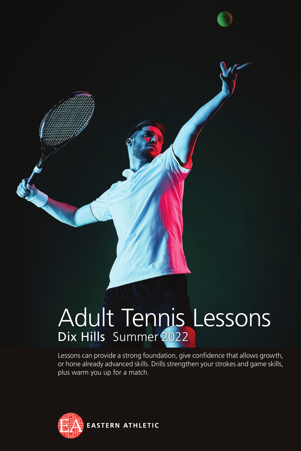

# Adult Tennis Lessons Dix Hills Summer 2022

Lessons can provide a strong foundation, give confidence that allows growth, or hone already advanced skills. Drills strengthen your strokes and game skills, plus warm you up for a match.